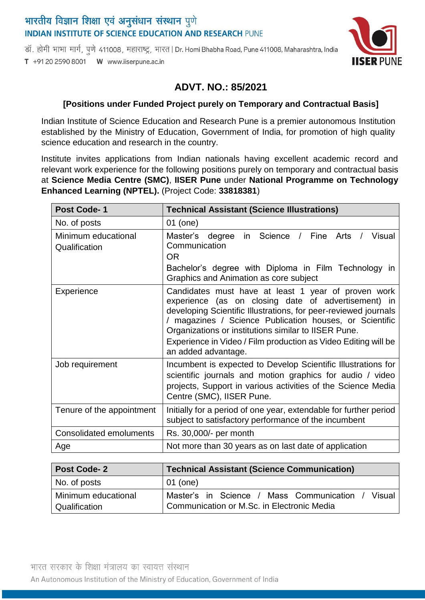# भारतीय विज्ञान शिक्षा एवं अनुसंधान संस्थान पुणे **INDIAN INSTITUTE OF SCIENCE EDUCATION AND RESEARCH PUNE**

डॉ. होमी भाभा मार्ग, पुणे 411008, महाराष्ट्र, भारत | Dr. Homi Bhabha Road, Pune 411008, Maharashtra, India T +91 20 2590 8001 W www.iiserpune.ac.in



## **ADVT. NO.: 85/2021**

#### **[Positions under Funded Project purely on Temporary and Contractual Basis]**

Indian Institute of Science Education and Research Pune is a premier autonomous Institution established by the Ministry of Education, Government of India, for promotion of high quality science education and research in the country.

Institute invites applications from Indian nationals having excellent academic record and relevant work experience for the following positions purely on temporary and contractual basis at **Science Media Centre (SMC)**, **IISER Pune** under **National Programme on Technology Enhanced Learning (NPTEL).** (Project Code: **33818381**)

| Post Code-1                          | <b>Technical Assistant (Science Illustrations)</b>                                                                                                                                                                                                                                                                                                                                        |
|--------------------------------------|-------------------------------------------------------------------------------------------------------------------------------------------------------------------------------------------------------------------------------------------------------------------------------------------------------------------------------------------------------------------------------------------|
| No. of posts                         | 01 (one)                                                                                                                                                                                                                                                                                                                                                                                  |
| Minimum educational<br>Qualification | in Science /<br>Visual<br>Master's degree<br>Fine Arts<br>$\frac{1}{2}$<br>Communication<br><b>OR</b>                                                                                                                                                                                                                                                                                     |
|                                      | Bachelor's degree with Diploma in Film Technology in<br>Graphics and Animation as core subject                                                                                                                                                                                                                                                                                            |
| Experience                           | Candidates must have at least 1 year of proven work<br>experience (as on closing date of advertisement) in<br>developing Scientific Illustrations, for peer-reviewed journals<br>/ magazines / Science Publication houses, or Scientific<br>Organizations or institutions similar to IISER Pune.<br>Experience in Video / Film production as Video Editing will be<br>an added advantage. |
| Job requirement                      | Incumbent is expected to Develop Scientific Illustrations for<br>scientific journals and motion graphics for audio / video<br>projects, Support in various activities of the Science Media<br>Centre (SMC), IISER Pune.                                                                                                                                                                   |
| Tenure of the appointment            | Initially for a period of one year, extendable for further period<br>subject to satisfactory performance of the incumbent                                                                                                                                                                                                                                                                 |
| <b>Consolidated emoluments</b>       | Rs. 30,000/- per month                                                                                                                                                                                                                                                                                                                                                                    |
| Age                                  | Not more than 30 years as on last date of application                                                                                                                                                                                                                                                                                                                                     |

| <b>Post Code-2</b>                   | <b>Technical Assistant (Science Communication)</b>                                              |
|--------------------------------------|-------------------------------------------------------------------------------------------------|
| No. of posts                         | 01 (one)                                                                                        |
| Minimum educational<br>Qualification | Master's in Science / Mass Communication / Visual<br>Communication or M.Sc. in Electronic Media |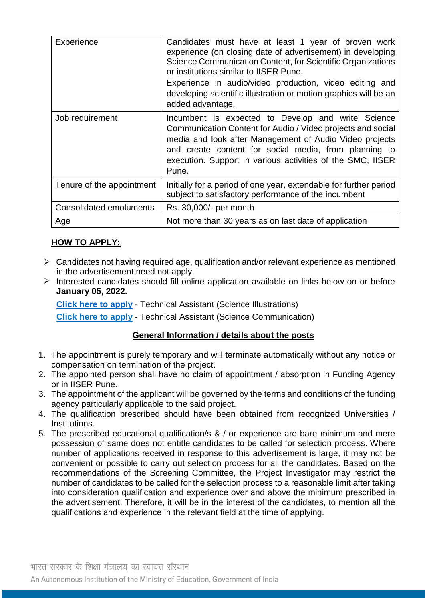| Experience                | Candidates must have at least 1 year of proven work<br>experience (on closing date of advertisement) in developing<br>Science Communication Content, for Scientific Organizations<br>or institutions similar to IISER Pune.<br>Experience in audio/video production, video editing and<br>developing scientific illustration or motion graphics will be an<br>added advantage. |
|---------------------------|--------------------------------------------------------------------------------------------------------------------------------------------------------------------------------------------------------------------------------------------------------------------------------------------------------------------------------------------------------------------------------|
| Job requirement           | Incumbent is expected to Develop and write Science<br>Communication Content for Audio / Video projects and social<br>media and look after Management of Audio Video projects<br>and create content for social media, from planning to<br>execution. Support in various activities of the SMC, IISER<br>Pune.                                                                   |
| Tenure of the appointment | Initially for a period of one year, extendable for further period<br>subject to satisfactory performance of the incumbent                                                                                                                                                                                                                                                      |
| Consolidated emoluments   | Rs. 30,000/- per month                                                                                                                                                                                                                                                                                                                                                         |
| Age                       | Not more than 30 years as on last date of application                                                                                                                                                                                                                                                                                                                          |

### **HOW TO APPLY:**

- $\triangleright$  Candidates not having required age, qualification and/or relevant experience as mentioned in the advertisement need not apply.
- $\triangleright$  Interested candidates should fill online application available on links below on or before **January 05, 2022.**

**[Click here to apply](https://docs.google.com/forms/d/e/1FAIpQLScuHzhlwNT9cScpW7Zc_bFUKsZt5-3828f725nRS0qFcF6YAg/viewform?usp=sf_link)** - Technical Assistant (Science Illustrations)

**[Click here to apply](https://forms.gle/MvJqh8c1cWMqdmia7)** - Technical Assistant (Science Communication)

#### **General Information / details about the posts**

- 1. The appointment is purely temporary and will terminate automatically without any notice or compensation on termination of the project.
- 2. The appointed person shall have no claim of appointment / absorption in Funding Agency or in IISER Pune.
- 3. The appointment of the applicant will be governed by the terms and conditions of the funding agency particularly applicable to the said project.
- 4. The qualification prescribed should have been obtained from recognized Universities / Institutions.
- 5. The prescribed educational qualification/s & / or experience are bare minimum and mere possession of same does not entitle candidates to be called for selection process. Where number of applications received in response to this advertisement is large, it may not be convenient or possible to carry out selection process for all the candidates. Based on the recommendations of the Screening Committee, the Project Investigator may restrict the number of candidates to be called for the selection process to a reasonable limit after taking into consideration qualification and experience over and above the minimum prescribed in the advertisement. Therefore, it will be in the interest of the candidates, to mention all the qualifications and experience in the relevant field at the time of applying.